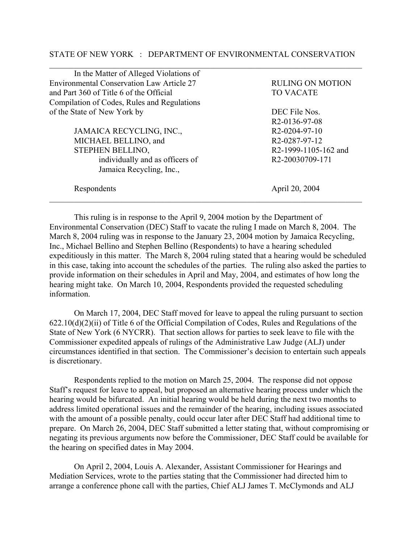## STATE OF NEW YORK : DEPARTMENT OF ENVIRONMENTAL CONSERVATION

| In the Matter of Alleged Violations of      |                            |
|---------------------------------------------|----------------------------|
| Environmental Conservation Law Article 27   | <b>RULING ON MOTION</b>    |
| and Part 360 of Title 6 of the Official     | <b>TO VACATE</b>           |
| Compilation of Codes, Rules and Regulations |                            |
| of the State of New York by                 | DEC File Nos.              |
|                                             | R <sub>2</sub> -0136-97-08 |
| JAMAICA RECYCLING, INC.,                    | R <sub>2</sub> -0204-97-10 |
| MICHAEL BELLINO, and                        | R <sub>2</sub> -0287-97-12 |
| <b>STEPHEN BELLINO,</b>                     | R2-1999-1105-162 and       |
| individually and as officers of             | R2-20030709-171            |
| Jamaica Recycling, Inc.,                    |                            |
| Respondents                                 | April 20, 2004             |

This ruling is in response to the April 9, 2004 motion by the Department of Environmental Conservation (DEC) Staff to vacate the ruling I made on March 8, 2004. The March 8, 2004 ruling was in response to the January 23, 2004 motion by Jamaica Recycling, Inc., Michael Bellino and Stephen Bellino (Respondents) to have a hearing scheduled expeditiously in this matter. The March 8, 2004 ruling stated that a hearing would be scheduled in this case, taking into account the schedules of the parties. The ruling also asked the parties to provide information on their schedules in April and May, 2004, and estimates of how long the hearing might take. On March 10, 2004, Respondents provided the requested scheduling information.

On March 17, 2004, DEC Staff moved for leave to appeal the ruling pursuant to section 622.10(d)(2)(ii) of Title 6 of the Official Compilation of Codes, Rules and Regulations of the State of New York (6 NYCRR). That section allows for parties to seek leave to file with the Commissioner expedited appeals of rulings of the Administrative Law Judge (ALJ) under circumstances identified in that section. The Commissioner's decision to entertain such appeals is discretionary.

Respondents replied to the motion on March 25, 2004. The response did not oppose Staff's request for leave to appeal, but proposed an alternative hearing process under which the hearing would be bifurcated. An initial hearing would be held during the next two months to address limited operational issues and the remainder of the hearing, including issues associated with the amount of a possible penalty, could occur later after DEC Staff had additional time to prepare. On March 26, 2004, DEC Staff submitted a letter stating that, without compromising or negating its previous arguments now before the Commissioner, DEC Staff could be available for the hearing on specified dates in May 2004.

On April 2, 2004, Louis A. Alexander, Assistant Commissioner for Hearings and Mediation Services, wrote to the parties stating that the Commissioner had directed him to arrange a conference phone call with the parties, Chief ALJ James T. McClymonds and ALJ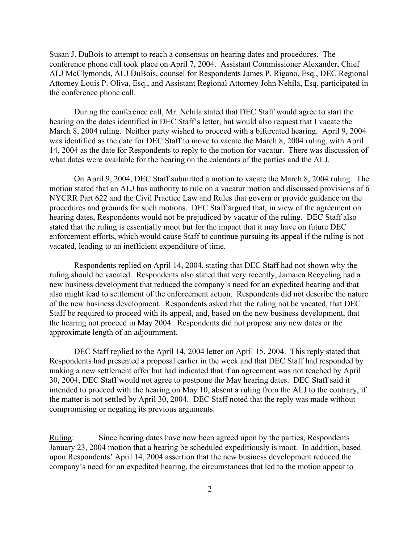Susan J. DuBois to attempt to reach a consensus on hearing dates and procedures. The conference phone call took place on April 7, 2004. Assistant Commissioner Alexander, Chief ALJ McClymonds, ALJ DuBois, counsel for Respondents James P. Rigano, Esq., DEC Regional Attorney Louis P. Oliva, Esq., and Assistant Regional Attorney John Nehila, Esq. participated in the conference phone call.

During the conference call, Mr. Nehila stated that DEC Staff would agree to start the hearing on the dates identified in DEC Staff's letter, but would also request that I vacate the March 8, 2004 ruling. Neither party wished to proceed with a bifurcated hearing. April 9, 2004 was identified as the date for DEC Staff to move to vacate the March 8, 2004 ruling, with April 14, 2004 as the date for Respondents to reply to the motion for vacatur. There was discussion of what dates were available for the hearing on the calendars of the parties and the ALJ.

On April 9, 2004, DEC Staff submitted a motion to vacate the March 8, 2004 ruling. The motion stated that an ALJ has authority to rule on a vacatur motion and discussed provisions of 6 NYCRR Part 622 and the Civil Practice Law and Rules that govern or provide guidance on the procedures and grounds for such motions. DEC Staff argued that, in view of the agreement on hearing dates, Respondents would not be prejudiced by vacatur of the ruling. DEC Staff also stated that the ruling is essentially moot but for the impact that it may have on future DEC enforcement efforts, which would cause Staff to continue pursuing its appeal if the ruling is not vacated, leading to an inefficient expenditure of time.

Respondents replied on April 14, 2004, stating that DEC Staff had not shown why the ruling should be vacated. Respondents also stated that very recently, Jamaica Recycling had a new business development that reduced the company's need for an expedited hearing and that also might lead to settlement of the enforcement action. Respondents did not describe the nature of the new business development. Respondents asked that the ruling not be vacated, that DEC Staff be required to proceed with its appeal, and, based on the new business development, that the hearing not proceed in May 2004. Respondents did not propose any new dates or the approximate length of an adjournment.

DEC Staff replied to the April 14, 2004 letter on April 15, 2004. This reply stated that Respondents had presented a proposal earlier in the week and that DEC Staff had responded by making a new settlement offer but had indicated that if an agreement was not reached by April 30, 2004, DEC Staff would not agree to postpone the May hearing dates. DEC Staff said it intended to proceed with the hearing on May 10, absent a ruling from the ALJ to the contrary, if the matter is not settled by April 30, 2004. DEC Staff noted that the reply was made without compromising or negating its previous arguments.

Ruling: Since hearing dates have now been agreed upon by the parties, Respondents January 23, 2004 motion that a hearing be scheduled expeditiously is moot. In addition, based upon Respondents' April 14, 2004 assertion that the new business development reduced the company's need for an expedited hearing, the circumstances that led to the motion appear to